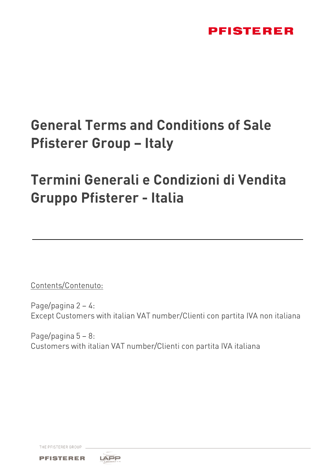# **General Terms and Conditions of Sale Pfisterer Group - Italy**

# Termini Generali e Condizioni di Vendita **Gruppo Pfisterer - Italia**

Contents/Contenuto:

Page/pagina  $2 - 4$ : Except Customers with italian VAT number/Clienti con partita IVA non italiana

Page/pagina  $5 - 8$ : Customers with italian VAT number/Clienti con partita IVA italiana

THE PFISTERER GROUP



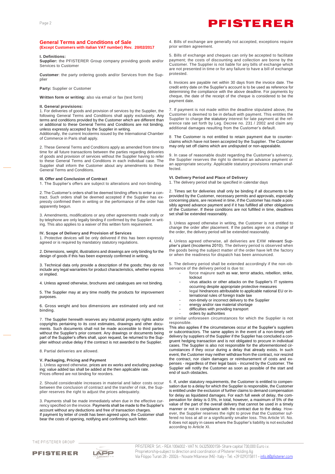### **General Terms and Conditions of Sale (Except Customers with italian VAT number) Rev. 20/02/2017**

### **I. Definitions:**

**Supplier:** the PFISTERER Group company providing goods and/or Services to Customer

**Customer**: the party ordering goods and/or Services from the Supplier

**Party:** Supplier or Customer

**Written form or writing:** also via email or fax (text form)

### **II. General provisions:**

1. For deliveries of goods and provision of services by the Supplier, the following General Terms and Conditions shall apply exclusively. Any terms and conditions provided by the Customer which are different than or additional to these General Terms and Conditions are not binding, unless expressly accepted by the Supplier in writing.

Additionally, the current Incoterms issued by the International Chamber of Commerce in Paris shall apply.

2. These General Terms and Conditions apply as amended from time to time for all future transactions between the parties regarding deliveries of goods and provision of services without the Supplier having to refer to these General Terms and Conditions in each individual case. The Supplier shall inform the Customer about any amendments to these General Terms and Conditions.

### **III. Offer and Conclusion of Contract**

1. The Supplier's offers are subject to alterations and non-binding.

2. The Customer's orders shall be deemed binding offers to enter a contract. Such orders shall be deemed accepted if the Supplier has expressly confirmed them in writing or the performance of the order has apparently begun.

3. Amendments, modifications or any other agreements made orally or by telephone are only legally binding if confirmed by the Supplier in writing. This also applies to a waiver of this written form requirement.

### **IV. Scope of Delivery and Provision of Services**

1. Protective devices will be only delivered if this has been expressly agreed or is required by mandatory statutory regulations.

2. Dimensions, weight, illustrations and drawings are only binding for the design of goods if this has been expressly confirmed in writing.

3. Technical data only provide a description of the goods; they do not include any legal warranties for product characteristics, whether express or implied.

4. Unless agreed otherwise, brochures and catalogues are not binding.

5. The Supplier may at any time modify the products for improvement purposes.

6. Gross weight and box dimensions are estimated only and not binding.

7. The Supplier herewith reserves any industrial property rights and/or copyrights pertaining to its cost estimates, drawings and other documents. Such documents shall not be made accessible to third parties without the Supplier's prior consent. Any drawings or documents being part of the Supplier's offers shall, upon request, be returned to the Supplier without undue delay if the contract is not awarded to the Supplier.

8. Partial deliveries are allowed.

### **V. Packaging, Pricing and Payment**

1. Unless agreed otherwise, prices are ex works and excluding packaging; value added tax shall be added at the then applicable rate Prices offered are not binding for reorders.

2. Should considerable increases in material and labor costs occur between the conclusion of contract and the transfer of risk, the Supplier reserves the right to adjust the prices adequately.

3. Payments shall be made immediately when due in the effective currency specified on the invoice. Payments shall be made to the Supplier's account without any deductions and free of transaction charges. If payment by letter of credit has been agreed upon, the Customer shall bear the costs of opening, notifying and confirming such letter.

4. Bills of exchange are generally not accepted, exceptions require prior written agreement.

5. Bills of exchange and cheques can only be accepted to facilitate payment; the costs of discounting and collection are borne by the Customer. The Supplier is not liable for any bills of exchange which are not presented in time or for any failure to have a bill of exchange protested.

6. Invoices are payable net within 30 days from the invoice date. The credit entry date on the Supplier's account is to be used as reference for determining the compliance with the above deadline. For payments by cheque, the date of the receipt of the cheque is considered to be the payment date.

7. If payment is not made within the deadline stipulated above, the Customer is deemed to be in default with payment. This entitles the Supplier to charge the statutory interest for late payment at the reference rate set forth by Leg. Decree no. 231 / 2002 and claim any additional damages resulting from the Customer's default.

8. The Customer is not entitled to retain payment due to counterclaims which have not been accepted by the Supplier. The Customer may only set off claims which are undisputed or non-appealable.

9. In case of reasonable doubt regarding the Customer's solvency, the Supplier reserves the right to demand an advance payment or an appropriate security. Applicable statutory provisions remain unaffected.

**VI. Delivery Period and Place of Delivery**

1. The delivery period shall be specified in calendar days

2. Times set for deliveries shall only be binding if all documents to be provided by the Customer, necessary permits and approvals, especially concerning plans, are received in time, if the Customer has made a possibly agreed advance payment and if it has fulfilled all other obligations of the Customer. If these conditions are not fulfilled in time, deadlines set shall be extended reasonably.

3. Unless agreed otherwise in writing, the Customer is not entitled to change the order after placement. If the parties agree on a change of the order, the delivery period will be extended reasonably.

4. Unless agreed otherwise, all deliveries are EXW relevant Supplier's plant (Incoterms 2010). The delivery period is observed when the goods being the subject matter of the order have left the factory or when the readiness for dispatch has been announced.

5. The delivery period shall be extended accordingly if the non-observance of the delivery period is due to:

- force majeure such as war, terror attacks, rebellion, strike, lockout
- virus attacks or other attacks on the Supplier's IT systems occurring despite appropriate protective measures
- legal hindrances attributable to applicable national EU or international rules of foreign trade law
- non-timely or incorrect delivery to the Supplier
- energy and/or raw material shortage
- difficulties with providing transport
- orders by authorities

or similar unforeseen circumstances for which the Supplier is not responsible.

This also applies if the circumstances occur at the Supplier's suppliers or subcontractors. The same applies in the event of a non-timely selfdelivery by suppliers of the Supplier if the Supplier has concluded a congruent hedging transaction and is not obligated to procure in individual cases. The Supplier is also not responsible for the aforementioned circumstances if they occur during a delay that already exists. In such event, the Customer may neither withdraw from the contract, nor rescind the contract, nor claim damages or reimbursement of costs and expenses - regardless of their legal basis - incurred by the Customer. The Supplier will notify the Customer as soon as possible of the start and end of such obstacles.

6. If, under statutory requirements, the Customer is entitled to compensation due to a delay for which the Supplier is responsible, the Customer is entitled under the exclusion of further claims to demand compensation for delay as liquidated damages. For each full week of delay, the compensation for delay is 0.5%, in total, however, a maximum of 5% of the value of the part of the overall delivery that cannot be used in a timely manner or not in compliance with the contract due to the delay. However, the Supplier reserves the right to prove that the Customer suffered no loss at all or a significantly smaller loss. This Article VI. No. 6 does not apply in cases where the Supplier's liability is not excluded according to Article XI.

THE PEISTERER GROUP

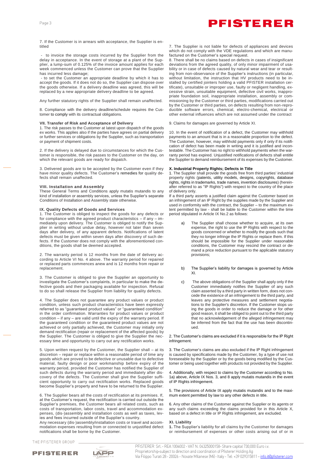7. If the Customer is in arrears with acceptance, the Supplier is entitled

to invoice the storage costs incurred by the Supplier from the delay in acceptance. In the event of storage at a plant of the Supplier, a lump-sum of 0.125% of the invoice amount applies for each week commenced unless the Customer can prove that the Supplier has incurred less damage;

- to set the Customer an appropriate deadline by which it has to accept the goods. If it does not do so, the Supplier can dispose over the goods otherwise. If a delivery deadline was agreed, this will be replaced by a new appropriate delivery deadline to be agreed.

Any further statutory rights of the Supplier shall remain unaffected.

8. Compliance with the delivery deadline/schedule requires the Customer to comply with its contractual obligations.

### **VII. Transfer of Risk and Acceptance of Delivery**

1. The risk passes to the Customer at latest upon dispatch of the goods ex works. This applies also if the parties have agrees on partial delivery or further services or obligations by the Supplier, such as transportation or payment of shipment costs.

2. If the delivery is delayed due to circumstances for which the Customer is responsible, the risk passes to the Customer on the day, on which the relevant goods are ready for dispatch.

3. Delivered goods are to be accepted by the Customer even if they have minor quality defects. The Customer's remedies for quality defects shall remain unaffected.

### **VIII. Installation and Assembly**

These General Terms and Conditions apply mutatis mutandis to any kind of installation or assembly services, unless the Supplier's separate Conditions of Installation and Assembly state otherwise.

### **IX. Quality Defects of Goods and Services**

1. The Customer is obliged to inspect the goods for any defects or for compliance with the agreed product characteristics – if any – immediately upon delivery. The Customer is obliged to notify the Supplier in writing without undue delay, however not later than seven days after delivery, of any apparent defects. Notifications of latent defects must be given within seven days after discovery of such defects. If the Customer does not comply with the aforementioned conditions, the goods shall be deemed accepted.

2. The warranty period is 12 months from the date of delivery according to Article VI No. 4 above. The warranty period for repaired or replaced parts commences anew and is 12 months from repair or replacement.

3. The Customer is obliged to give the Supplier an opportunity to investigate the Customer's complaints, in particular to make the defective goods and their packaging available for inspection. Refusal to do so shall release the Supplier from liability for quality defects.

4. The Supplier does not guarantee any product values or product condition, unless such product characteristics have been expressly referred to as "guaranteed product values" or "guaranteed condition" in the order confirmation. Warranties for product values or product condition – if any – are valid until the expiry of the warranty period. If the guaranteed condition or the guaranteed product values are not achieved or only partially achieved, the Customer may initially only demand rectification (repair or replacement of the affected goods) by the Supplier. The Customer is obliged to give the Supplier the necessary time and opportunity to carry out any rectification works.

5. Upon written request by the Customer, the Supplier shall – at its discretion – repair or replace within a reasonable period of time any goods which are proved to be defective or unusable due to defective material, faulty design or poor workmanship before expiry of the warranty period, provided the Customer has notified the Supplier of such defects during the warranty period and immediately after discovery of the defects. The Customer shall give the Supplier sufficient opportunity to carry out rectification works. Replaced goods become Supplier's property and have to be returned to the Supplier.

6. The Supplier bears all the costs of rectification at its premises. If, at the Customer's request, the rectification is carried out outside the Supplier's premises, the Customer bears all related costs, such as costs of transportation, labor costs, travel and accommodation expenses, (dis-)assembly and installation costs as well as taxes, levies and fees incurred outside of the Supplier's country.

Any necessary (dis-)assembly/installation costs or travel and accommodation expenses resulting from or connected to unjustified defect notifications shall be borne by the Customer.

THE PFISTERER GROUP





PFISTERER Srl. - REA 1004002 - VAT N. 04325000158- Share capital 730,000 Euro i.v. Proprietorship-subject to direction and coordination of Pfisterer Holding Ag Via Filippo Turati 28 - 20026 - Novate Milanese (Mi) - Italy - Tel: +39 029315811 - info.it@pfisterer.com

7. The Supplier is not liable for defects of appliances and devices which do not comply with the VDE regulations and which are manufactured on the Customer's special request.

8. There shall be no claims based on defects in cases of insignificant deviations from the agreed quality, of only minor impairment of usability or in case of defects caused by natural wear and tear or resulting from non-observance of the Supplier's instructions (in particular, without limitation, the instruction that HV products need to be installed by certified jointers holding a valid PFISTER installation certificate), unsuitable or improper use, faulty or negligent handling, excessive strain, unsuitable equipment, defective civil works, inappropriate foundation soil, inappropriate installation, assembly or commissioning by the Customer or third parties, modifications carried out by the Customer or third parties, on defects resulting from non-reproducible software errors, chemical, electro-chemical, electrical or other external influences which are not assumed under the contract

### 9. Claims for damages are governed by Article XI.

10. In the event of notification of a defect, the Customer may withhold payments to an amount that is in a reasonable proportion to the defect. The Customer, however, may withhold payments only if only if its notification of defect has been made in writing and it is justified and incontestable. The Customer has no right to withhold payments when the warranty period has expired. Unjustified notifications of defects shall entitle the Supplier to demand reimbursement of its expenses by the Customer.

### **X. Industrial Property Rights; Defects in Title**

1. The Supplier shall provide the goods free from third parties' industrial property rights (patents, utility models, designs, copyrights, database rights, rights in trademarks, trade names, invention disclosures) (hereinafter referred to as "IP Rights") with respect to the country of the place of delivery only.

If a third party asserts a justified claim against the Customer based on an infringement of an IP Right by the supplies made by the Supplier and used in conformity with the contract, the Supplier – to the maximum extent permitted by law - shall be liable to the Customer within the time period stipulated in Article IX No.2 as follows:

- a) The Supplier shall choose whether to acquire, at its own expense, the right to use the IP Rights with respect to the goods concerned or whether to modify the goods such that they no longer infringe the IP Rights or replace them. If this should be impossible for the Supplier under reasonable conditions, the Customer may rescind the contract or demand a price reduction pursuant to the applicable statutory provisions;
- b) The Supplier's liability for damages is governed by Article XI.
- c) The above obligations of the Supplier shall apply only if the Customer immediately notifies the Supplier of any such claim asserted by a third party in written form, does not concede the existence of an infringement to the third party, and leaves any protective measures and settlement negotiations to the Supplier's discretion. If the Customer stops using the goods in order to reduce the damage or for other good reason, it shall be obliged to point out to the third party that no acknowledgement of the alleged infringement may be inferred from the fact that the use has been discontinued.

2. The Customer's claims are excluded if it is responsible for the IP Right infringement.

3. The Customer's claims are also excluded if the IP Right infringement is caused by specifications made by the Customer, by a type of use not foreseeable by the Supplier or by the goods being modified by the Customer or being used together with products not provided by the Supplier.

4. Additionally, with respect to claims by the Customer according to No. 1a) above, Article IX Nos. 3, and 8 apply mutatis mutandis in the event of IP Rights infringement.

5. The provisions of Article IX apply mutatis mutandis and to the maximum extent permitted by law to any other defects in title.

6. Any other claims of the Customer against the Supplier or its agents or any such claims exceeding the claims provided for in this Article X, based on a defect in title or IP Rights infringement, are excluded.

### **XI. Liability**

**1.** The Supplier's liability for all claims by the Customer for damages or reimbursement of expenses or other costs arising out of or in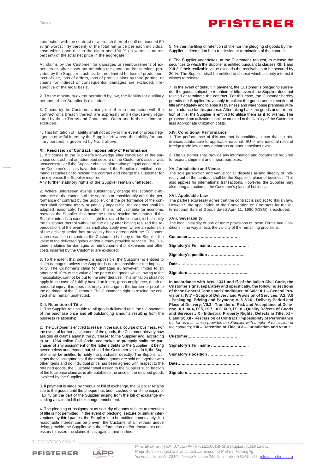connection with the contract or a breach thereof shall not exceed 50 % (in words: fifty percent) of the total net price per each individual case which gave rise to the claim and 100 % (in words: hundred percent) of the total net price in the aggregate.

All claims by the Customer for damages or reimbursement of expenses or other costs not affecting the goods and/or services provided by the Supplier, such as, but not limited to: loss of production, loss of use, loss of orders, loss of profit, claims by third parties, or claims for indirect or consequential damages are excluded, irrespective of the legal basis.

2. To the maximum extent permitted by law, the liability for auxiliary persons of the Supplier is excluded.

3. Claims by the Customer arising out of or in connection with the contract or a breach thereof are expressly and exhaustively regulated by these Terms and Conditions. Other and further claims are excluded.

4. This limitation of liability shall not apply in the event of gross negligence or wilful intent by the Supplier. However, the liability for auxiliary persons is governed by No. 2 above.

### **XII. Rescission of Contract, Impossibility of Performance**

1. If it comes to the Supplier's knowledge after conclusion of the purchase contract that an attempted seizure of the Customer's assets was unsuccessful or if the Supplier obtains information of equal concern that the Customer's assets have deteriorated, the Supplier is entitled to demand securities or to rescind the contract and charge the Customer for the expenses the Supplier incurred.

Any further statutory rights of the Supplier remain unaffected.

2. Where unforeseen events substantially change the economic importance or the contents of the supplies or considerably affect the performance of contract by the Supplier, or if the performance of the contract shall become totally or partially impossible, the contract shall be adapted reasonably. To the extent this is not justifiable for economic reasons, the Supplier shall have the right to rescind the contract. If the Supplier intends to exercise its right to rescind the contract, it shall notify the Customer thereof without undue delay after having realized the repercussions of the event; this shall also apply even where an extension of the delivery period has previously been agreed with the Customer. Upon rescission of contract the Customer shall pay to the Supplier the value of the delivered goods and/or already provided services. The Customer's claims for damages or reimbursement of expenses and other costs incurred by the Customer are excluded.

3. To the extent that delivery is impossible, the Customer is entitled to claim damages, unless the Supplier is not responsible for the impossibility. The Customer's claim for damages is, however, limited to an amount of 10 % of the value of the part of the goods which, owing to the impossibility, cannot be put to the intended use. This limitation shall not apply in the case of liability based on intent, gross negligence, death or personal injury; this does not imply a change in the burden of proof to the detriment of the Customer. The Customer's right to rescind the contract shall remain unaffected.

### **XIII. Retention of Title**

1. The Supplier retains title to all goods delivered until the full payment of the purchase price and all outstanding amounts resulting from the business relationship.

2. The Customer is entitled to resale in the usual course of business. For the event of further assignment of the goods, the Customer already now assigns all claims against the purchaser to the Supplier and, according to Art. 1264 Italian Civil Code, undertakes to promptly notify the purchaser of any assignment of the latter's debts to the Supplier., it being nevertheless understood that, should the Customer fail to do it, the Supplier shall be entitled to notify the purchaser directly. The Supplier accepts these assignments. If the retained goods are sold on together with other items and no individual price has been agreed with respect to the retained goods, the Customer shall assign to the Supplier such fraction of the total price claim as is attributable to the price of the retained goods invoiced by the Supplier.

3. If payment is made by cheque or bill of exchange, the Supplier retains title to the goods until the cheque has been cashed or until the expiry of liability on the part of the Supplier arising from the bill of exchange including a claim to bill of exchange enrichment.

4. The pledging or assignment as security of goods subject to retention of title is not permitted; in the event of pledging, seizure or similar interventions by third parties, the Supplier is to be notified immediately. If a reasonable interest can be proven, the Customer shall, without undue delay, provide the Supplier with the information and/or documents necessary to assert the claims it has against third parties.

THE PFISTERER GROUP





5. Neither the filing of retention of title nor the pledging of goods by the Supplier is deemed to be a rescission or termination of the contract.

6. The Supplier undertakes, at the Customer's request, to release the securities to which the Supplier is entitled pursuant to clauses XIII.1 and XIII.2 if their realizable value exceeds the receivables to be secured by 20 %. The Supplier shall be entitled to choose which security interest it wishes to release.

7. In the event of default in payment, the Customer is obliged to surrender the goods subject to retention of title, even if the Supplier does not rescind or terminate the contract. For this case, the Customer hereby permits the Supplier irrevocably to collect the goods under retention of title immediately and to enter its business and warehouse premises without hindrance for this purpose. After taking back the goods under retention of title, the Supplier is entitled to utilize them as it so wishes. The proceeds from utilization shall be credited to the liability of the Customer .<br>less appropriate utilization costs.

### **XIV. Conditional Performance**

1. The performance of this contract is conditional upon that no hindrances attributable to applicable national EU or international rules of foreign trade law or any embargos or other sanctions exist.

2. The Customer shall provide any information and documents required for export, shipment and import purposes.

### **XV. Jurisdiction and Venue**

The sole jurisdiction and venue for all disputes arising directly or indirectly out of the contract shall be the Supplier's place of business. This also applies for international transactions. However, the Supplier may also bring an action at the Customer's place of business.

### **XVI. Applicable Law**

The parties expressly agree that the contract is subject to Italian law. However, the application of the Convention on Contracts for the International Sale of Goods dated April 11, 1980 (CISG) is excluded.

#### **XVII. Severability**

The legal invalidity of one or more provisions of these Terms and Conditions in no way affects the validity of the remaining provisions.

**Customer…………………………………**

**Signatory's Full name ………………………..**

**Signatory's position ………………………..**

**Date…………………………………………**

**Signature………………………………………..**

**In accordance with Arts. 1341 and ff. of the Italian Civil Code, the Customer signs, separately and specifically, the following sections of these General Terms and Conditions: of Sale: II.1 – General Provisions; IV.7 – Scope of Delivery and Provision of Services; V.2, V.8 - Packaging, Pricing and Payment; VI.5, VI.6 - Delivery Period and Place of Delivery; VII.3 - Transfer of Risk and Acceptance of Delivery; IX.1, IX.4, IX.5, IX.7, IX.8, IX.9, IX.10 - Quality Defects of Goods and Services;; X - Industrial Property Rights; Defects in Title; XI – Liability; XII - Rescission of Contract, Impossibility of Performance**  (*as far as this clause provides the Supplier with a right of rescission of the contract*)*;* **XIII – Retention of Title**; **XV – Jurisdiction and Venue**.

**Customer…………………………………**

**Signatory's Full name ………………………..**

**Signatory's position ………………………..**

**Date…………………………………………**

**Signature………………………………………..**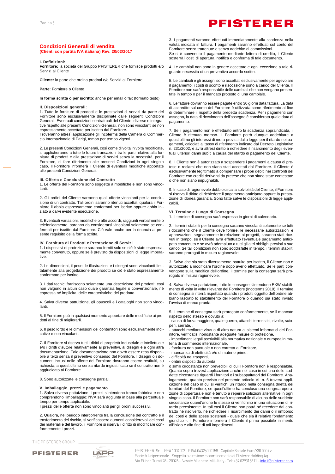### **Condizioni Generali di vendita (Clienti con partita IVA italiana) Rev. 20/02/2017**

### **I. Definizioni:**

**Fornitore:** la società del Gruppo PFISTERER che fornisce prodotti e/o Servizi al Cliente

**Cliente:** la parte che ordina prodotti e/o Servizi al Fornitore

**Parte:** Fornitore o Cliente

**In forma scritta o per iscritto**: anche per email o fax (formato testo)

### **II. Disposizioni generali:**

1. Tutte le forniture di prodotti e le prestazioni di servizi da parte del Fornitore sono esclusivamente disciplinate dalle seguenti Condizioni Generali. Eventuali condizioni contrattuali del Cliente, diverse o integrative rispetto alle presenti Condizioni Generali, non sono vincolanti se non espressamente accettate per iscritto dal Fornitore.

Troveranno altresì applicazione gli Incoterms della Camera di Commercio Internazionale di Parigi, tempo per tempo vigenti.

2. Le presenti Condizioni Generali, così come di volta in volta modificate, si applicheranno a tutte le future transazioni tra le parti relative alla fornitura di prodotti e alla prestazione di servizi senza la necessità, per il Fornitore, di fare riferimento alle presenti Condizioni in ogni singolo caso. Il Fornitore informerà il Cliente di eventuali modifiche apportate alle presenti Condizioni Generali.

### **III. Offerta e Conclusione del Contratto**

1. Le offerte del Fornitore sono soggette a modifiche e non sono vincolanti.

2. Gli ordini del Cliente varranno quali offerte vincolanti per la conclusione di un contratto. Tali ordini saranno ritenuti accettati qualora il Fornitore li abbia espressamente confermati per iscritto oppure abbia iniziato a darvi evidente esecuzione.

3. Eventuali variazioni, modifiche o altri accordi, raggiunti verbalmente o telefonicamente, saranno da considerarsi vincolanti solamente se confermati per iscritto dal Fornitore. Ciò vale anche per la rinuncia al presente requisito della forma scritta.

### **IV. Fornitura di Prodotti e Prestazione di Servizi**

1. I dispositivi di protezione saranno forniti solo se ciò è stato espressamente convenuto, oppure se è previsto da disposizioni di legge imperative.

2. Le dimensioni, il peso, le illustrazioni e i disegni sono vincolanti limitatamente alla progettazione dei prodotti se ciò è stato espressamente confermato per iscritto.

3. I dati tecnici forniscono solamente una descrizione dei prodotti; essi non valgono in alcun caso quale garanzia legale o convenzionale, né espressa né implicita, delle caratteristiche del prodotto.

4. Salva diversa pattuizione, gli opuscoli e i cataloghi non sono vincolanti.

5. Il Fornitore può in qualsiasi momento apportare delle modifiche ai prodotti al fine di migliorarli.

6. Il peso lordo e le dimensioni dei contenitori sono esclusivamente indicative e non vincolanti.

7. Il Fornitore si riserva tutti i diritti di proprietà industriale e intellettuale e/o i diritti d'autore relativamente ai preventivi, ai disegni e a ogni altra documentazione. Tale documentazione non dovrà essere resa disponibile a terzi senza il preventivo consenso del Fornitore. I disegni o i documenti inclusi nelle offerte del Fornitore dovranno essere restituiti, su richiesta, a quest'ultimo senza ritardo ingiustificato se il contratto non è aggiudicato al Fornitore.

8. Sono autorizzate le consegne parziali.

### **V. Imballaggio, prezzi e pagamento**

1. Salva diversa pattuizione, i prezzi s'intendono franco fabbrica e non comprendono l'imballaggio; l'IVA sarà aggiunta in base alla percentuale tempo per tempo applicabile.

I prezzi delle offerte non sono vincolanti per gli ordini successivi.

2. Qualora, nel periodo intercorrente tra la conclusione del contratto e il trasferimento del rischio, si verificassero aumenti considerevoli dei costi dei materiali e del lavoro, il Fornitore si riserva il diritto di modificare conformemente i prezzi.

THE PFISTERER GROUP





3. I pagamenti saranno effettuati immediatamente alla scadenza nella valuta indicata in fattura. I pagamenti saranno effettuati sul conto del Fornitore senza trattenute e senza addebito di commissioni. Se si è convenuto il pagamento mediante lettera di credito, il Cliente sosterrà i costi di apertura, notifica e conferma di tale documento.

4. Le cambiali non sono in genere accettate e ogni eccezione a tale riguardo necessita di un preventivo accordo scritto.

5. Le cambiali e gli assegni sono accettati esclusivamente per agevolare il pagamento; i costi di sconto e riscossione sono a carico del Cliente. Il Fornitore non sarà responsabile delle cambiali che non vengano presentate in tempo o per il mancato protesto di una cambiale.

6. Le fatture dovranno essere pagate entro 30 giorni data fattura. La data di accredito sul conto del Fornitore è utilizzata come riferimento al fine di determinare il rispetto della predetta scadenza. Per i pagamenti con assegno, la data di ricevimento dell'assegno è considerata quale data di pagamento.

7. Se il pagamento non è effettuato entro la scadenza sopraindicata, il Cliente è ritenuto moroso. Il Fornitore potrà dunque addebitare a quest'ultimo gli interessi di mora previsti dalla legge per il ritardo nei pagamenti, calcolati al tasso di riferimento indicato dal Decreto Legislativo n. 231/2002, e avrà altresì diritto a richiedere il risarcimento degli eventuali ulteriori danni subìti a causa del ritardo di pagamento del Cliente.

8. Il Cliente non è autorizzato a sospendere i pagamenti a causa di pretese o reclami che non siano stati accettati dal Fornitore. Il Cliente è esclusivamente legittimato a compensare i propri debiti nei confronti del Fornitore con crediti derivanti da pretese che non siano state contestate o che non siano impugnabili.

9. In caso di ragionevole dubbio circa la solvibilità del Cliente, il Fornitore si riserva il diritto di richiedere il pagamento anticipato oppure la prestazione di idonea garanzia. Sono fatte salve le disposizioni di legge applicabili.

### **VI. Termine e Luogo di Consegna**

1. Il termine di consegna sarà espresso in giorni di calendario.

2. I termini stabiliti per la consegna saranno vincolanti solamente se tutti i documenti che il Cliente deve fornire, le necessarie autorizzazioni e approvazioni, segnatamente in relazione ai progetti, saranno stati ricevuti in tempo, se il Cliente avrà effettuato l'eventuale pagamento anticipato convenuto e se avrà adempiuto a tutti gli altri obblighi previsti a suo carico. Se tali condizioni non sono soddisfatte in tempo, i termini stabiliti saranno prorogati in misura ragionevole.

3. Salvo che sia stato diversamente pattuito per iscritto, il Cliente non è autorizzato a modificare l'ordine dopo averlo effettuato. Se le parti convengono sulla modifica dell'ordine, il termine per la consegna sarà prorogato in misura ragionevole.

4. Salva diversa pattuizione, tutte le consegne s'intendono EXW stabilimento di volta in volta rilevante del Fornitore (Incoterms 2010). Il termine di consegna si riterrà rispettato quando i prodotti oggetto dell'ordine abbiano lasciato lo stabilimento del Fornitore o quando sia stato inviato l'avviso di merce pronta.

5. Il termine di consegna sarà prorogato conformemente, se il mancato rispetto dello stesso è dovuto a:

- causa di forza maggiore, quale guerra, attacchi terroristici, rivolte, scioperi, serrate,

- attacchi mediante virus o di altra natura ai sistemi informatici del Fornitore, verificatisi nonostante adeguate misure di protezione,

- impedimenti legali ascrivibili alla normativa nazionale o europea in materia di commercio internazionale,

- fornitura non puntuale o non corretta al Fornitore,
- mancanza di elettricità e/o di materie prime,
- difficoltà nei trasporti, - ordini disposti da autorità

o simili circostanze non prevedibili di cui il Fornitore non è responsabile. Quanto sopra troverà applicazione anche nel caso in cui una delle suddette circostanze riguardi i fornitori o i subappaltatori del Fornitore. Analogamente, quanto previsto nel presente articolo VI. n. 5 troverà applicazione nel caso in cui si verifichi un ritardo nella consegna diretta dei fornitori del Fornitore, se quest'ultimo ha concluso una congrua operazione di copertura e non è tenuto a reperire soluzioni alternative in ogni singolo caso. Il Fornitore non sarà responsabile di alcuna delle suddette circostanze quand'anche le stesse si verifichino in una situazione di ritardo preesistente. In tali casi il Cliente non potrà né recedere dal contratto né risolverlo, né richiedere il risarcimento dei danni o il rimborso dei costi e delle spese sostenuti - quale che sia il relativo fondamento giuridico -. Il Fornitore informerà il Cliente il prima possibile in merito all'inizio e alla fine di tali impedimenti.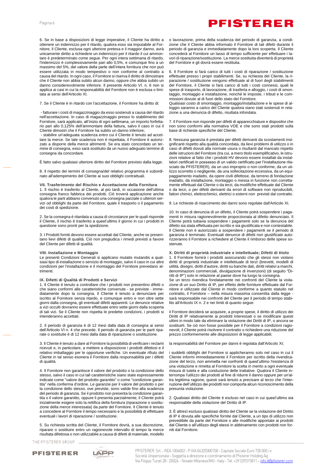6. Se in base a disposizioni di legge imperative, il Cliente ha diritto a ottenere un indennizzo per il ritardo, qualora esso sia imputabile al Fornitore, il Cliente, esclusa ogni ulteriore pretesa e il maggior danno, avrà unicamente diritto a richiedere un indennizzo per il ritardo il cui ammontare è predeterminato come segue. Per ogni intera settimana di ritardo, l'indennizzo è complessivamente pari allo 0,5%, e comunque fino a un massimo del 5%, del valore della parte dell'intera fornitura che non può essere utilizzata in modo tempestivo o non conforme al contratto a causa del ritardo. In ogni caso, il Fornitore si riserva il diritto di dimostrare che il Cliente non abbia subito alcun danno, oppure che abbia subito un danno considerevolmente inferiore. Il presente Articolo VI. n. 6 non si applica ai casi in cui la responsabilità del Fornitore non è esclusa o limitata ai sensi dell'Articolo XI.

### 7. Se il Cliente è in ritardo con l'accettazione, il Fornitore ha diritto di:

- fatturare i costi di magazzinaggio da esso sostenuti a causa del ritardo nell'accettazione. In caso di magazzinaggio presso lo stabilimento del Fornitore, sarà applicato, all'inizio di ogni settimana, un importo forfettario pari allo 0,125% dell'ammontare della fattura, salvo il caso in cui il Cliente dimostri che il Fornitore ha subito un danno inferiore;

- stabilire un'adeguata scadenza entro cui il Cliente è tenuto ad accettare la merce. Se tale scadenza non è rispettata, il Fornitore è autorizzato a disporre della merce altrimenti. Se era stato concordato un termine di consegna, esso sarà sostituito da un nuovo adeguato termine di consegna da concordare.

È fatto salvo qualsiasi ulteriore diritto del Fornitore previsto dalla legge.

8. Il rispetto dei termini di consegna/del relativo programma è subordinato all'adempimento del Cliente ai suoi obblighi contrattuali.

### **VII. Trasferimento del Rischio e Accettazione della Fornitura**

1. Il rischio è trasferito al Cliente, al più tardi, in occasione dell'ultima consegna franco fabbrica dei prodotti. Ciò troverà applicazione anche qualora le parti abbiano convenuto una consegna parziale o ulteriori servizi od obblighi da parte del Fornitore, quale il trasporto o il pagamento dei costi di spedizione.

2. Se la consegna è ritardata a causa di circostanze per le quali risponde il Cliente, il rischio è trasferito a quest'ultimo il giorno in cui i prodotti in questione sono pronti per la spedizione.

3. I Prodotti forniti devono essere accettati dal Cliente, anche se presentano lievi difetti di qualità. Ciò non pregiudica i rimedi previsti a favore del Cliente per difetti di qualità.

### **VIII. Installazione e Montaggio**

Le presenti Condizioni Generali si applicano mutatis mutandis a qualsiasi tipo di installazione o servizio di montaggio, salvo il caso in cui altre condizioni per l'installazione e il montaggio del Fornitore prevedano altrimenti.

### **IX. Difetti di Qualità di Prodotti e Servizi**

1. Il Cliente è tenuto a controllare che i prodotti non presentino difetti o che siano conformi alle caratteristiche convenute - se previste - immediatamente dopo la consegna. Il Cliente è tenuto a denunciare per iscritto al Fornitore senza ritardo, e comunque entro e non oltre sette giorni dalla consegna, gli eventuali difetti apparenti. Le denunce relative a vizi occulti dovranno essere effettuate entro sette giorni dalla scoperta di tali vizi. Se il Cliente non rispetta le predette condizioni, i prodotti si intenderanno accettati.

2. Il periodo di garanzia è di 12 mesi dalla data di consegna ai sensi dell'Articolo VI n. 4 che precede. Il periodo di garanzia per le parti riparate o sostituite è di 12 mesi dalla data di riparazione o sostituzione.

3. Il Cliente è tenuto a dare al Fornitore la possibilità di verificare i reclami ricevuti e, in particolare, a mettere a disposizione i prodotti difettosi e il relativo imballaggio per le opportune verifiche. Un eventuale rifiuto del Cliente in tal senso esonera il Fornitore dalla responsabilità per i difetti di qualità.

4. Il Fornitore non garantisce il valore del prodotto o la condizione dello stesso, salvo il caso in cui tali caratteristiche siano state espressamente indicate come "valore del prodotto garantito" o come "condizione garantita" nella conferma d'ordine. Le garanzie per il valore del prodotto o per la condizione dello stesso, ove previste, sono valide fino alla scadenza del periodo di garanzia. Se il prodotto non presenta la condizione garantita o il valore garantito, oppure li presenta parzialmente, il Cliente potrà inizialmente esigere solo la rettifica della fornitura (riparazione o sostituzione della merce interessata) da parte del Fornitore. Il Cliente è tenuto a concedere al Fornitore il tempo necessario e la possibilità di effettuare eventuali i lavori di riparazione / sostituzione.

5. Su richiesta scritta del Cliente, il Fornitore dovrà, a sua discrezione, riparare o sostituire entro un ragionevole intervallo di tempo la merce risultata difettosa o non utilizzabile a causa di difetti di materiale, modello

THE PEISTERER GROUP





PFISTERER Srl. - REA 1004002 - P.IVA 04325000158 - Capitale Sociale Euro 730.000 i.v. Società Unipersonale - Soggetta a direzione e coordinamento di Pfisterer Holding Ag Via Filippo Turati 28 - 20026 - Novate Milanese (Mi) - Italy - Tel: +39 029315811 - info.it@pfisterer.com

o lavorazione, prima della scadenza del periodo di garanzia, a condizione che il Cliente abbia informato il Fornitore di tali difetti durante il periodo di garanzia e immediatamente dopo la loro scoperta. Il Cliente concederà al Fornitore un lasso di tempo sufficiente per effettuare i lavori di riparazione/sostituzione. La merce sostituita diventerà di proprietà del Fornitore e gli dovrà essere restituita.

6. Il Fornitore si farà carico di tutti i costi di riparazione / sostituzione effettuate presso i propri stabilimenti. Se, su richiesta del Cliente, la riparazione / sostituzione vengono effettuate al di fuori degli stabilimenti del Fornitore, il Cliente si farà carico di tutti i costi connessi, quali le spese di trasporto, di lavorazione, di trasferta e alloggio, i costi di smontaggio, montaggio e installazione, nonché le imposte, i tributi e le commissioni dovute al di fuori dello stato del Fornitore.

Qualsiasi costo di smontaggio, montaggio/installazione e le spese di alloggio saranno a carico del Cliente qualora siano stati sostenuti in relazione a una denuncia di difetto, risultata infondata.

7. Il Fornitore non risponde per difetti di apparecchiature e dispositivi che non sono conformi alla normativa VDE e che sono stati prodotti sulla base di richieste specifiche del Cliente.

8. Nessuna garanzia è prestata per difetti derivanti da scostamenti insignificanti rispetto alla qualità concordata, da lievi problemi di utilizzo o in caso di difetti dovuti alla normale usura o risultanti dal mancato rispetto delle istruzioni del Fornitore (tra cui, a mero titolo esemplificativo, le istruzioni relative al fatto che i prodotti HV devono essere installati da installatori certificati in possesso di un valido certificato per l'installazione rilasciato da PFISTERER), da un uso improprio o non conforme, da un utilizzo scorretto o negligente, da una sollecitazione eccessiva, da un equipaggiamento inadatto, da opere civili difettose, da terreno di fondazione inadatto, da installazione, montaggio o messa in funzione non correttamente effettuati dal Cliente o da terzi, da modifiche effettuate dal Cliente o da terzi, o per difetti derivanti da errori di software non riproducibili, fattori chimici, elettrochimici, elettrici o esterni non previsti dal contratto.

9. Le richieste di risarcimento dei danni sono regolate dall'Articolo XI.

10. In caso di denuncia di un difetto, il Cliente potrà sospendere i pagamenti in misura ragionevolmente proporzionata al difetto denunciato. Il Cliente potrà tuttavia sospendere i pagamenti solo se la denuncia del difetto sia stata effettuata per iscritto e sia giustificata e non contestabile. Il Cliente non è autorizzato a sospendere i pagamenti se il periodo di garanzia è terminato. Eventuali denunce di difetti non giustificate autorizzeranno il Fornitore a richiedere al Cliente il rimborso delle spese sostenute.

**X. Diritti di proprietà industriale e intellettuale; Difetti di titolo**  1. Il Fornitore fornirà i prodotti assicurando che gli stessi non violano diritti di proprietà industriale e intellettuale di terzi (brevetti, modelli di utilità, disegni, diritti d'autore, diritti su banche dati, diritti relativi a marchi, denominazioni commerciali, divulgazione di invenzioni) (di seguito "Diritti di IP") solo in relazione al paese dove ha luogo la consegna.

Se un terzo rivendica fondatamente nei confronti del Cliente la violazione di un suo Diritto di IP, per effetto delle forniture effettuate dal Fornitore e utilizzate dal Cliente in modo conforme a quanto statuito nel contratto, il Fornitore – nella misura massima consentita dalla legge sarà responsabile nei confronti del Cliente per il periodo di tempo stabilito all'Articolo IX n. 2 e nei limiti di quanto segue:

il Fornitore deciderà se acquisire, a proprie spese, il diritto di utilizzo dei Diritti di IP relativamente ai prodotti interessati o se modificare questi ultimi in modo tale da eliminare la violazione dei Diritti di IP, o ancora se sostituirli. Se ciò non fosse possibile per il Fornitore a condizioni ragionevoli, il Cliente potrà risolvere il contratto o richiedere una riduzione del prezzo conformemente alle disposizioni di legge applicabili;

la responsabilità del Fornitore per danni è regolata dall'Articolo XI;

i suddetti obblighi del Fornitore si applicheranno solo nel caso in cui il Cliente informi immediatamente il Fornitore per iscritto della rivendicazione del terzo, non ammetta nei confronti di quest'ultimo l'esistenza di una violazione e rimetta al Fornitore la scelta in merito a ogni eventuale misura di tutela e alla conduzione delle trattative. Qualora il Cliente interrompa l'utilizzo dei prodotti al fine di ridurre il danno oppure per un'altra legittima ragione, questi sarà tenuto a precisare al terzo che l'interruzione dell'utilizzo dei prodotti non comporta alcun riconoscimento della presunta violazione.

2. Qualsiasi diritto del Cliente è escluso nel caso in cui quest'ultimo sia responsabile della violazione del Diritto di IP.

3. È altresì escluso qualsiasi diritto del Cliente se la violazione del Diritto di IP è dovuta alle specifiche fornite dal Cliente, a un tipo di utilizzo non prevedibile da parte del Fornitore o alle modifiche apportate ai prodotti dal Cliente o all'utilizzo degli stessi in abbinamento con prodotti non forniti dal Fornitore.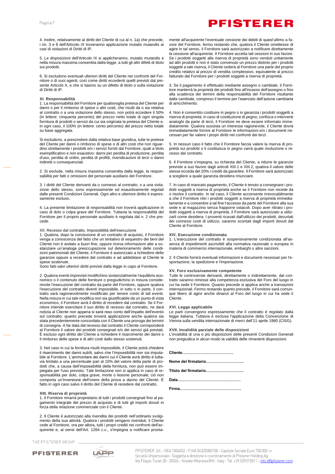4. Inoltre, relativamente ai diritti del Cliente di cui al n. 1a) che precede, i nn. 3 e 8 dell'Articolo IX troveranno applicazione mutatis mutandis ai casi di violazioni di Diritti di IP.

5. Le disposizioni dell'Articolo IX si applicheranno, mutatis mutandis e nella misura massima consentita dalla legge, a tutti gli altri difetti di titolo sui prodotti.

6. Si escludono eventuali ulteriori diritti del Cliente nei confronti del Fornitore o di suoi agenti, così come diritti eccedenti quelli previsti dal presente Articolo X, e che si basino su un difetto di titolo o sulla violazione di Diritti di IP.

### **XI. Responsabilità**

1. La responsabilità del Fornitore per qualsivoglia pretesa del Cliente per danni o per il rimborso di spese o altri costi, che risulti da o sia relativa al contratto o a una violazione dello stesso, non potrà eccedere il 50% (in lettere: cinquanta percento) del prezzo netto totale di ogni singola fornitura di prodotti o servizi da cui sia originata la pretesa del Cliente e, in ogni caso, il 100% (in lettere: cento percento) del prezzo netto totale su base aggregata.

Si escludono, a prescindere dalla relativa base giuridica, tutte le pretese del Cliente per danni o rimborso di spese o di altri costi che non riguardino strettamente i prodotti e/o i servizi forniti dal Fornitore, quali a titolo esemplificativo e non esaustivo: danni per perdita di produzione, perdita d'uso, perdita di ordini, perdita di profitti, rivendicazioni di terzi o danni indiretti o consequenziali.

2. Si esclude, nella misura massima consentita dalla legge, la responsabilità per fatti o omissioni del personale ausiliario del Fornitore.

3. I diritti del Cliente derivanti da o connessi al contratto, o a una violazione dello stesso, sono espressamente ed esaustivamente regolati dalle presenti Condizioni Generali. Ogni altro e ulteriore diritto è espressamente escluso.

4. La presente limitazione di responsabilità non troverà applicazione in caso di dolo o colpa grave del Fornitore. Tuttavia la responsabilità del Fornitore per il proprio personale ausiliario è regolata dal n. 2 che precede.

### XII. Recesso dal contratto, Impossibilità dell'esecuzione

1. Qualora, dopo la conclusione di un contratto di acquisto, il Fornitore venga a conoscenza del fatto che un tentativo di sequestro dei beni del Cliente non è andato a buon fine, oppure riceva informazioni atte a sostanziare un'analoga preoccupazione sul deterioramento delle condizioni patrimoniali del Cliente, il Fornitore è autorizzato a richiedere delle garanzie oppure a recedere dal contratto e ad addebitare al Cliente le spese sostenute.

Sono fatti salvi ulteriori diritti previsti dalla legge in capo al Fornitore.

2. Qualora eventi imprevisti modifichino sostanzialmente l'equilibrio economico o il contenuto delle forniture o pregiudichino in misura considerevole l'esecuzione del contratto da parte del Fornitore, oppure qualora l'esecuzione del contratto diventi impossibile, in tutto o in parte, il contratto sarà ragionevolmente modificato per tenere conto di tali eventi. Nella misura in cui tale modifica non sia giustificabile da un punto di vista economico, il Fornitore avrà il diritto di recedere dal contratto. Se il Fornitore intende esercitare il suo diritto di recesso dal contratto, ne darà notizia al Cliente non appena si sarà reso conto dell'impatto dell'evento sul contratto; quanto precede troverà applicazione anche qualora sia stata precedentemente concordata con il Cliente una proroga dei termini di consegna. A far data dal recesso dal contratto il Cliente corrisponderà al Fornitore il valore dei prodotti consegnati e/o dei servizi già prestati. È escluso ogni diritto del Cliente a richiedere il risarcimento dei danni o il rimborso delle spese e di altri costi dallo stesso sostenuti.

3. Nel caso in cui la fornitura risulti impossibile, il Cliente potrà chiedere il risarcimento dei danni subìti, salvo che l'impossibilità non sia imputabile al Fornitore. L'ammontare dei danni cui il Cliente avrà diritto è tuttavia limitato a una percentuale pari al 10% del valore della parte di prodotti che, a causa dell'impossibilità della fornitura, non può essere impiegata per l'uso previsto. Tale limitazione non si applica in caso di responsabilità per dolo, colpa grave, morte o lesione personale; ciò non comporta un'inversione dell'onere della prova a danno del Cliente. È fatto in ogni caso salvo il diritto del Cliente di recedere dal contratto.

### **XIII. Riserva di proprietà**

1. Il Fornitore rimarrà proprietario di tutti i prodotti consegnati fino al pagamento integrale del prezzo di acquisto e di tutti gli importi dovuti in forza della relazione commerciale con il Cliente.

2. Il Cliente è autorizzato alla rivendita dei prodotti nell'ordinario svolgimento della sua attività. Qualora i prodotti vengano rivenduti, il Cliente cede al Fornitore, ora per allora, tutti i propri crediti nei confronti dell'acquirente e, ai sensi dell'Art. 1264 c.c., s'impegna a notificare pronta-

THE PFISTERER GROUP





vore del Fornitore, fermo restando che, qualora il Cliente omettesse di agire in tal senso, il Fornitore sarà autorizzato a notificare direttamente la cessione all'acquirente. Il Fornitore accetta tali cessioni in suo favore. Se i prodotti soggetti alla riserva di proprietà sono venduti unitamente ad altri prodotti e non è stato convenuto un prezzo distinto per i prodotti soggetti a tale riserva, il Cliente cederà al Fornitore una parte del proprio credito relativo al prezzo di vendita complessivo, equivalente al prezzo fatturato dal Fornitore per i prodotti soggetti a riserva di proprietà.

mente all'acquirente l'eventuale cessione dei debiti di quest'ultimo a fa-

3. Se il pagamento è effettuato mediante assegno o cambiale, il Fornitore manterrà la proprietà dei prodotti fino all'incasso dell'assegno o fino alla scadenza dei termini della responsabilità del Fornitore risultante dalla cambiale, compreso il termine per l'esercizio dell'azione cambiaria di arricchimento.

4. Non è consentito costituire in pegno o in garanzia i prodotti soggetti a riserva di proprietà; in caso di costituzione di pegno, confisca o interventi analoghi da parte di terzi, il Fornitore ne deve essere informato immediatamente. Qualora sussista un interesse ragionevole, il Cliente dovrà immediatamente fornire al Fornitore le informazioni e/o i documenti necessari per far valere i propri diritti nei confronti dei terzi.

5. In nessun caso il fatto che il Fornitore faccia valere la riserva di proprietà sui prodotti o li costituisca in pegno varrà quale risoluzione o recesso dal contratto.

6. Il Fornitore s'impegna, su richiesta del Cliente, a ridurre le garanzie previste a suo favore dagli articoli XIII.1 e XIII.2, qualora il valore delle stesse ecceda del 20% i crediti da garantire. Il Fornitore sarà autorizzato a scegliere a quale garanzia desidera rinunciare.

7. In caso di mancato pagamento, il Cliente è tenuto a consegnare i prodotti soggetti a riserva di proprietà anche se il Fornitore non recede da o risolve il contratto. In tal caso, il Cliente acconsente irrevocabilmente a che il Fornitore ritiri i prodotti soggetti a riserva di proprietà immediatamente e a consentire a tal fine l'accesso da parte del Fornitore alla sua sede e al magazzino senza frapporre ostacoli. Dopo aver ritirato i prodotti soggetti a riserva di proprietà, il Fornitore sarà autorizzato a utilizzarli come desidera. I proventi ricavati dall'utilizzo dei prodotti, decurtati dei connessi costi di utilizzo, saranno scontati dagli importi dovuti dal Cliente al Fornitore.

#### **XIV. Esecuzione condizionata**

1. L'esecuzione del contratto è sospensivamente condizionata all'assenza di impedimenti ascrivibili alla normativa nazionale o europea in materia di commercio internazionale, embarghi o altre sanzioni.

2. Il Cliente fornirà eventuali informazioni e documenti necessari per l'esportazione, la spedizione e l'importazione.

#### **XV. Foro esclusivamente competente**

Tutte le controversie derivanti, direttamente o indirettamente, dal contratto saranno rimesse alla competenza esclusiva del Foro del luogo in cui ha sede il Fornitore. Quanto precede si applica anche a transazioni internazionali. Fermo restando quanto precede, il Fornitore sarà comunque libero di agire anche dinanzi al Foro del luogo in cui ha sede il Cliente.

### **XVI. Legge applicabile**

Le parti convengono espressamente che il contratto è regolato dalla legge italiana. Tuttavia è esclusa l'applicazione della Convenzione di Vienna sulla vendita internazionale di merci dell'11 aprile 1980 (CISG).

**XVII. Invalidità parziale delle disposizioni**

L'invalidità di una o più disposizioni delle presenti Condizioni Generali non pregiudica in alcun modo la validità delle rimanenti disposizioni.

**Cliente…………………………………**

| Titolo del firmatario |
|-----------------------|
|                       |

**Data…………………………………………**